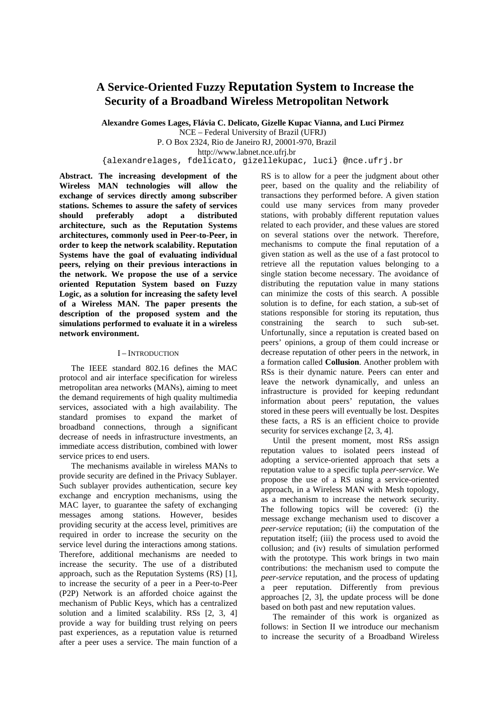# **A Service-Oriented Fuzzy Reputation System to Increase the Security of a Broadband Wireless Metropolitan Network**

**Alexandre Gomes Lages, Flávia C. Delicato, Gizelle Kupac Vianna, and Luci Pirmez**  NCE – Federal University of Brazil (UFRJ)

P. O Box 2324, Rio de Janeiro RJ, 20001-970, Brazil

http://www.labnet.nce.ufrj.br

{alexandrelages, fdelicato, gizellekupac, luci} @nce.ufrj.br

**Abstract. The increasing development of the Wireless MAN technologies will allow the exchange of services directly among subscriber stations. Schemes to assure the safety of services should preferably adopt a distributed architecture, such as the Reputation Systems architectures, commonly used in Peer-to-Peer, in order to keep the network scalability. Reputation Systems have the goal of evaluating individual peers, relying on their previous interactions in the network. We propose the use of a service oriented Reputation System based on Fuzzy Logic, as a solution for increasing the safety level of a Wireless MAN. The paper presents the description of the proposed system and the simulations performed to evaluate it in a wireless network environment.** 

# I – INTRODUCTION

The IEEE standard 802.16 defines the MAC protocol and air interface specification for wireless metropolitan area networks (MANs), aiming to meet the demand requirements of high quality multimedia services, associated with a high availability. The standard promises to expand the market of broadband connections, through a significant decrease of needs in infrastructure investments, an immediate access distribution, combined with lower service prices to end users.

The mechanisms available in wireless MANs to provide security are defined in the Privacy Sublayer. Such sublayer provides authentication, secure key exchange and encryption mechanisms, using the MAC layer, to guarantee the safety of exchanging messages among stations. However, besides providing security at the access level, primitives are required in order to increase the security on the service level during the interactions among stations. Therefore, additional mechanisms are needed to increase the security. The use of a distributed approach, such as the Reputation Systems (RS) [1], to increase the security of a peer in a Peer-to-Peer (P2P) Network is an afforded choice against the mechanism of Public Keys, which has a centralized solution and a limited scalability. RSs [2, 3, 4] provide a way for building trust relying on peers past experiences, as a reputation value is returned after a peer uses a service. The main function of a RS is to allow for a peer the judgment about other peer, based on the quality and the reliability of transactions they performed before. A given station could use many services from many proveder stations, with probably different reputation values related to each provider, and these values are stored on several stations over the network. Therefore, mechanisms to compute the final reputation of a given station as well as the use of a fast protocol to retrieve all the reputation values belonging to a single station become necessary. The avoidance of distributing the reputation value in many stations can minimize the costs of this search. A possible solution is to define, for each station, a sub-set of stations responsible for storing its reputation, thus constraining the search to such sub-set. Unfortunally, since a reputation is created based on peers' opinions, a group of them could increase or decrease reputation of other peers in the network, in a formation called **Collusion**. Another problem with RSs is their dynamic nature. Peers can enter and leave the network dynamically, and unless an infrastructure is provided for keeping redundant information about peers' reputation, the values stored in these peers will eventually be lost. Despites these facts, a RS is an efficient choice to provide security for services exchange  $[2, 3, 4]$ .

Until the present moment, most RSs assign reputation values to isolated peers instead of adopting a service-oriented approach that sets a reputation value to a specific tupla *peer-service*. We propose the use of a RS using a service-oriented approach, in a Wireless MAN with Mesh topology, as a mechanism to increase the network security. The following topics will be covered: (i) the message exchange mechanism used to discover a *peer-service* reputation; (ii) the computation of the reputation itself; (iii) the process used to avoid the collusion; and (iv) results of simulation performed with the prototype. This work brings in two main contributions: the mechanism used to compute the *peer-service* reputation, and the process of updating a peer reputation. Differently from previous approaches [2, 3], the update process will be done based on both past and new reputation values.

The remainder of this work is organized as follows: in Section II we introduce our mechanism to increase the security of a Broadband Wireless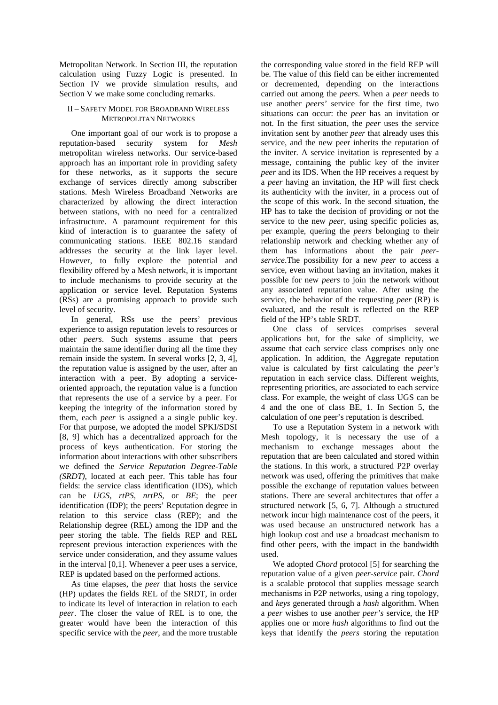Metropolitan Network. In Section III, the reputation calculation using Fuzzy Logic is presented. In Section IV we provide simulation results, and Section V we make some concluding remarks.

# II – SAFETY MODEL FOR BROADBAND WIRELESS METROPOLITAN NETWORKS

One important goal of our work is to propose a reputation-based security system for *Mesh* metropolitan wireless networks. Our service-based approach has an important role in providing safety for these networks, as it supports the secure exchange of services directly among subscriber stations. Mesh Wireless Broadband Networks are characterized by allowing the direct interaction between stations, with no need for a centralized infrastructure. A paramount requirement for this kind of interaction is to guarantee the safety of communicating stations. IEEE 802.16 standard addresses the security at the link layer level. However, to fully explore the potential and flexibility offered by a Mesh network, it is important to include mechanisms to provide security at the application or service level. Reputation Systems (RSs) are a promising approach to provide such level of security.

In general, RSs use the peers' previous experience to assign reputation levels to resources or other *peers*. Such systems assume that peers maintain the same identifier during all the time they remain inside the system. In several works [2, 3, 4], the reputation value is assigned by the user, after an interaction with a peer. By adopting a serviceoriented approach, the reputation value is a function that represents the use of a service by a peer. For keeping the integrity of the information stored by them, each *peer* is assigned a a single public key. For that purpose, we adopted the model SPKI/SDSI [8, 9] which has a decentralized approach for the process of keys authentication. For storing the information about interactions with other subscribers we defined the *Service Reputation Degree-Table (SRDT)*, located at each peer. This table has four fields: the service class identification (IDS), which can be *UGS, rtPS, nrtPS,* or *BE*; the peer identification (IDP); the peers' Reputation degree in relation to this service class (REP); and the Relationship degree (REL) among the IDP and the peer storing the table. The fields REP and REL represent previous interaction experiences with the service under consideration, and they assume values in the interval [0,1]. Whenever a peer uses a service, REP is updated based on the performed actions.

As time elapses, the *peer* that hosts the service (HP) updates the fields REL of the SRDT, in order to indicate its level of interaction in relation to each *peer*. The closer the value of REL is to one, the greater would have been the interaction of this specific service with the *peer*, and the more trustable the corresponding value stored in the field REP will be. The value of this field can be either incremented or decremented, depending on the interactions carried out among the *peers*. When a *peer* needs to use another *peers'* service for the first time, two situations can occur: the *peer* has an invitation or not. In the first situation, the *peer* uses the service invitation sent by another *peer* that already uses this service, and the new peer inherits the reputation of the inviter. A service invitation is represented by a message, containing the public key of the inviter *peer* and its IDS. When the HP receives a request by a *peer* having an invitation, the HP will first check its authenticity with the inviter, in a process out of the scope of this work. In the second situation, the HP has to take the decision of providing or not the service to the new *peer*, using specific policies as, per example, quering the *peers* belonging to their relationship network and checking whether any of them has informations about the pair *peerservice*.The possibility for a new *peer* to access a service, even without having an invitation, makes it possible for new *peers* to join the network without any associated reputation value. After using the service, the behavior of the requesting *peer* (RP) is evaluated, and the result is reflected on the REP field of the HP's table SRDT.

One class of services comprises several applications but, for the sake of simplicity, we assume that each service class comprises only one application. In addition, the Aggregate reputation value is calculated by first calculating the *peer's* reputation in each service class. Different weights, representing priorities, are associated to each service class. For example, the weight of class UGS can be 4 and the one of class BE, 1. In Section 5, the calculation of one peer's reputation is described.

To use a Reputation System in a network with Mesh topology, it is necessary the use of a mechanism to exchange messages about the reputation that are been calculated and stored within the stations. In this work, a structured P2P overlay network was used, offering the primitives that make possible the exchange of reputation values between stations. There are several architectures that offer a structured network [5, 6, 7]. Although a structured network incur high maintenance cost of the peers, it was used because an unstructured network has a high lookup cost and use a broadcast mechanism to find other peers, with the impact in the bandwidth used.

We adopted *Chord* protocol [5] for searching the reputation value of a given *peer-service* pair. *Chord* is a scalable protocol that supplies message search mechanisms in P2P networks, using a ring topology, and *keys* generated through a *hash* algorithm. When a *peer* wishes to use another *peer's* service, the HP applies one or more *hash* algorithms to find out the keys that identify the *peers* storing the reputation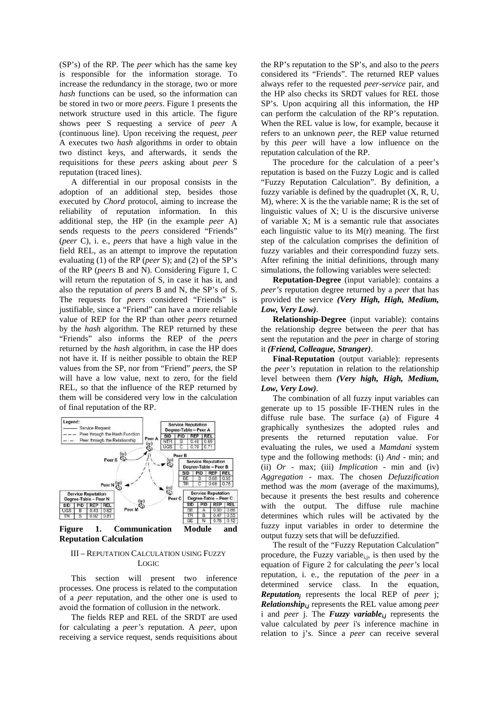(SP's) of the RP. The *peer* which has the same key is responsible for the information storage. To increase the redundancy in the storage, two or more *hash* functions can be used, so the information can be stored in two or more *peers*. Figure 1 presents the network structure used in this article. The figure shows peer S requesting a service of *peer* A (continuous line). Upon receiving the request, *peer* A executes two *hash* algorithms in order to obtain two distinct keys, and afterwards, it sends the requisitions for these *peers* asking about *peer* S reputation (traced lines).

A differential in our proposal consists in the adoption of an additional step, besides those executed by *Chord* protocol, aiming to increase the reliability of reputation information. In this additional step, the HP (in the example *peer* A) sends requests to the *peers* considered "Friends" (*peer* C), i. e., *peers* that have a high value in the field REL, as an attempt to improve the reputation evaluating (1) of the RP (*peer* S); and (2) of the SP's of the RP (*peers* B and N). Considering Figure 1, C will return the reputation of S, in case it has it, and also the reputation of *peers* B and N, the SP's of S. The requests for *peers* considered "Friends" is justifiable, since a "Friend" can have a more reliable value of REP for the RP than other *peers* returned by the *hash* algorithm. The REP returned by these "Friends" also informs the REP of the *peers* returned by the *hash* algorithm, in case the HP does not have it. If is neither possible to obtain the REP values from the SP, nor from "Friend" *peers*, the SP will have a low value, next to zero, for the field REL, so that the influence of the REP returned by them will be considered very low in the calculation of final reputation of the RP.



**Reputation Calculation** 

# III – REPUTATION CALCULATION USING FUZZY LOGIC

This section will present two inference processes. One process is related to the computation of a *peer* reputation, and the other one is used to avoid the formation of collusion in the network.

The fields REP and REL of the SRDT are used for calculating a *peer's* reputation. A *peer*, upon receiving a service request, sends requisitions about the RP's reputation to the SP's, and also to the *peers* considered its "Friends". The returned REP values always refer to the requested *peer-service* pair, and the HP also checks its SRDT values for REL those SP's. Upon acquiring all this information, the HP can perform the calculation of the RP's reputation. When the REL value is low, for example, because it refers to an unknown *peer*, the REP value returned by this *peer* will have a low influence on the reputation calculation of the RP.

The procedure for the calculation of a peer's reputation is based on the Fuzzy Logic and is called "Fuzzy Reputation Calculation". By definition, a fuzzy variable is defined by the quadruplet (X, R, U, M), where: X is the the variable name; R is the set of linguistic values of X; U is the discursive universe of variable X; M is a semantic rule that associates each linguistic value to its  $M(r)$  meaning. The first step of the calculation comprises the definition of fuzzy variables and their correspondind fuzzy sets. After refining the initial definitions, through many simulations, the following variables were selected:

**Reputation-Degree** (input variable): contains a *peer's* reputation degree returned by a *peer* that has provided the service *(Very High, High, Medium, Low, Very Low)*.

**Relationship-Degree** (input variable): contains the relationship degree between the *peer* that has sent the reputation and the *peer* in charge of storing it *(Friend, Colleague, Stranger)*.

**Final-Reputation** (output variable): represents the *peer's* reputation in relation to the relationship level between them *(Very high, High, Medium, Low, Very Low)*.

The combination of all fuzzy input variables can generate up to 15 possible IF-THEN rules in the diffuse rule base. The surface (a) of Figure 4 graphically synthesizes the adopted rules and presents the returned reputation value. For evaluating the rules, we used a *Mamdani* system type and the following methods: (i) *And* - min; and (ii) *Or -* max; (iii) *Implication* - min and (iv) *Aggregation* - max. The chosen *Defuzzification*  method was the *mom* (average of the maximums), because it presents the best results and coherence with the output. The diffuse rule machine determines which rules will be activated by the fuzzy input variables in order to determine the output fuzzy sets that will be defuzzified.

The result of the "Fuzzy Reputation Calculation" procedure, the Fuzzy variable $_{i,j}$ , is then used by the equation of Figure 2 for calculating the *peer's* local reputation, i. e., the reputation of the *peer* in a determined service class. In the equation, *Reputation<sup>j</sup>* represents the local REP of *peer* j; *Relationshipi,j* represents the REL value among *peer* i and *peer* j. The *Fuzzy variable*<sub>ij</sub> represents the value calculated by *peer* i's inference machine in relation to j's. Since a *peer* can receive several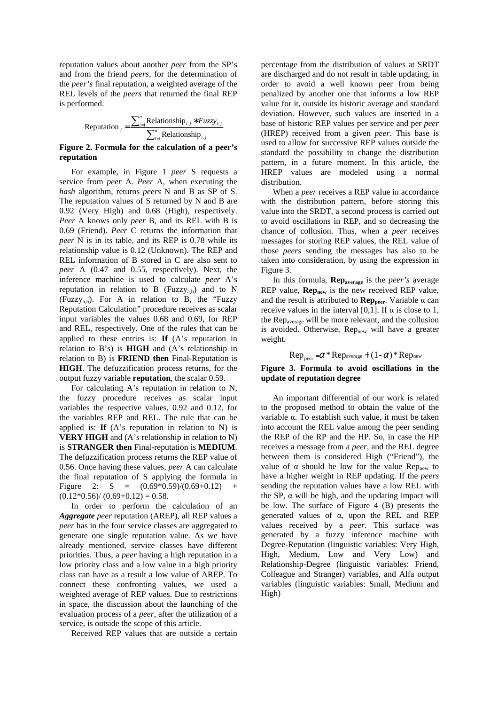reputation values about another *peer* from the SP's and from the friend *peers*, for the determination of the *peer's* final reputation, a weighted average of the REL levels of the *peers* that returned the final REP is performed.

$$
\text{Reputation}_{j} = \frac{\sum_{i=1}^{n} \text{Relationship}_{i,j} * Fuzzyi,j}}{\sum_{i=1}^{n} \text{Relationship}_{i,j}}
$$

#### **Figure 2. Formula for the calculation of a peer's reputation**

For example, in Figure 1 *peer* S requests a service from *peer* A. *Peer* A, when executing the *hash* algorithm, returns *peers* N and B as SP of S. The reputation values of S returned by N and B are 0.92 (Very High) and 0.68 (High), respectively. *Peer* A knows only *peer* B, and its REL with B is 0.69 (Friend). *Peer* C returns the information that *peer* N is in its table, and its REP is 0.78 while its relationship value is 0.12 (Unknown). The REP and REL information of B stored in C are also sent to *peer* A (0.47 and 0.55, respectively). Next, the inference machine is used to calculate *peer* A's reputation in relation to B (Fuzzy<sub>ab</sub>) and to N (Fuzzy<sub>a,n</sub>). For A in relation to B, the "Fuzzy Reputation Calculation" procedure receives as scalar input variables the values 0.68 and 0.69, for REP and REL, respectively. One of the rules that can be applied to these entries is: **If** (A's reputation in relation to B's) is **HIGH** and (A's relationship in relation to B) is **FRIEND then** Final-Reputation is **HIGH**. The defuzzification process returns, for the output fuzzy variable **reputation**, the scalar 0.59.

For calculating A's reputation in relation to N, the fuzzy procedure receives as scalar input variables the respective values, 0.92 and 0.12, for the variables REP and REL. The rule that can be applied is: **If**  $(A's$  reputation in relation to N) is **VERY HIGH** and (A's relationship in relation to N) is **STRANGER then** Final-reputation is **MEDIUM**. The defuzzification process returns the REP value of 0.56. Once having these values, *peer* A can calculate the final reputation of S applying the formula in Figure 2:  $S = (0.69*0.59)/(0.69+0.12)$  $(0.12*0.56)/(0.69+0.12) = 0.58.$ 

In order to perform the calculation of an *Aggregate peer* reputation (AREP), all REP values a *peer* has in the four service classes are aggregated to generate one single reputation value. As we have already mentioned, service classes have different priorities. Thus, a *peer* having a high reputation in a low priority class and a low value in a high priority class can have as a result a low value of AREP. To connect these confronting values, we used a weighted average of REP values. Due to restrictions in space, the discussion about the launching of the evaluation process of a *peer*, after the utilization of a service, is outside the scope of this article.

Received REP values that are outside a certain

percentage from the distribution of values at SRDT are discharged and do not result in table updating, in order to avoid a well known peer from being penalized by another one that informs a low REP value for it, outside its historic average and standard deviation. However, such values are inserted in a base of historic REP values per service and per *peer* (HREP) received from a given *peer*. This base is used to allow for successive REP values outside the standard the possibility to change the distribution pattern, in a future moment. In this article, the HREP values are modeled using a normal distribution.

When a *peer* receives a REP value in accordance with the distribution pattern, before storing this value into the SRDT, a second process is carried out to avoid oscillations in REP, and so decreasing the chance of collusion. Thus, when a *peer* receives messages for storing REP values, the REL value of those *peers* sending the messages has also to be taken into consideration, by using the expression in Figure 3.

In this formula, **Repaverage** is the *peer's* average REP value, **Rep<sub>new</sub>** is the new received REP value, and the result is attributed to **Rep<sub>peer</sub>**. Variable  $\alpha$  can receive values in the interval [0,1]. If  $\alpha$  is close to 1, the Repaverage will be more relevant, and the collusion is avoided. Otherwise, Rep<sub>new</sub> will have a greater weight.

 $\text{Rep}_{\text{near}} = \alpha^* \text{Rep}_{\text{average}} + (1 - \alpha)^* \text{Rep}_{\text{new}}$ 

## **Figure 3. Formula to avoid oscillations in the update of reputation degree**

An important differential of our work is related to the proposed method to obtain the value of the variable α. To establish such value, it must be taken into account the REL value among the peer sending the REP of the RP and the HP. So, in case the HP receives a message from a *peer*, and the REL degree between them is considered High ("Friend"), the value of α should be low for the value Rep<sub>new</sub> to have a higher weight in REP updating. If the *peers* sending the reputation values have a low REL with the SP,  $\alpha$  will be high, and the updating impact will be low. The surface of Figure 4 (B) presents the generated values of  $\alpha$ , upon the REL and REP values received by a *peer*. This surface was generated by a fuzzy inference machine with Degree-Reputation (linguistic variables: Very High, High, Medium, Low and Very Low) and Relationship-Degree (linguistic variables: Friend, Colleague and Stranger) variables, and Alfa output variables (linguistic variables: Small, Medium and High)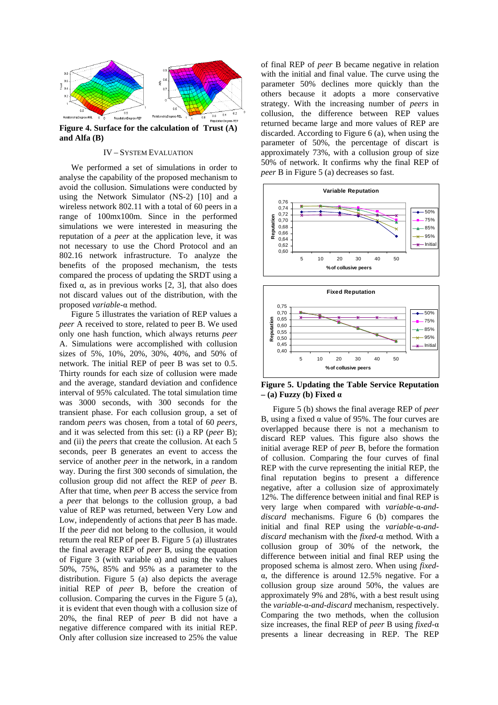

**Figure 4. Surface for the calculation of Trust (A) and Alfa (B)** 

# IV – SYSTEM EVALUATION

We performed a set of simulations in order to analyse the capability of the proposed mechanism to avoid the collusion. Simulations were conducted by using the Network Simulator (NS-2) [10] and a wireless network 802.11 with a total of 60 peers in a range of 100mx100m. Since in the performed simulations we were interested in measuring the reputation of a *peer* at the application leve, it was not necessary to use the Chord Protocol and an 802.16 network infrastructure. To analyze the benefits of the proposed mechanism, the tests compared the process of updating the SRDT using a fixed  $\alpha$ , as in previous works [2, 3], that also does not discard values out of the distribution, with the proposed *variable-*α method.

Figure 5 illustrates the variation of REP values a *peer* A received to store, related to peer B. We used only one hash function, which always returns *peer*  A. Simulations were accomplished with collusion sizes of 5%, 10%, 20%, 30%, 40%, and 50% of network. The initial REP of peer B was set to 0.5. Thirty rounds for each size of collusion were made and the average, standard deviation and confidence interval of 95% calculated. The total simulation time was 3000 seconds, with 300 seconds for the transient phase. For each collusion group, a set of random *peers* was chosen, from a total of 60 *peers*, and it was selected from this set: (i) a RP (*peer* B); and (ii) the *peers* that create the collusion. At each 5 seconds, peer B generates an event to access the service of another *peer* in the network, in a random way. During the first 300 seconds of simulation, the collusion group did not affect the REP of *peer* B. After that time, when *peer* B access the service from a *peer* that belongs to the collusion group, a bad value of REP was returned, between Very Low and Low, independently of actions that *peer* B has made. If the *peer* did not belong to the collusion, it would return the real REP of peer B. Figure 5 (a) illustrates the final average REP of *peer* B, using the equation of Figure 3 (with variable  $\alpha$ ) and using the values 50%, 75%, 85% and 95% as a parameter to the distribution. Figure 5 (a) also depicts the average initial REP of *peer* B, before the creation of collusion. Comparing the curves in the Figure 5 (a), it is evident that even though with a collusion size of 20%, the final REP of *peer* B did not have a negative difference compared with its initial REP. Only after collusion size increased to 25% the value

of final REP of *peer* B became negative in relation with the initial and final value. The curve using the parameter 50% declines more quickly than the others because it adopts a more conservative strategy. With the increasing number of *peers* in collusion, the difference between REP values returned became large and more values of REP are discarded. According to Figure 6 (a), when using the parameter of 50%, the percentage of discart is approximately 73%, with a collusion group of size 50% of network. It confirms why the final REP of *peer* B in Figure 5 (a) decreases so fast.





**Figure 5. Updating the Table Service Reputation – (a) Fuzzy (b) Fixed** α

Figure 5 (b) shows the final average REP of *peer*  B, using a fixed  $\alpha$  value of 95%. The four curves are overlapped because there is not a mechanism to discard REP values. This figure also shows the initial average REP of *peer* B, before the formation of collusion. Comparing the four curves of final REP with the curve representing the initial REP, the final reputation begins to present a difference negative, after a collusion size of approximately 12%. The difference between initial and final REP is very large when compared with *variable-*α*-anddiscard* mechanisms. Figure 6 (b) compares the initial and final REP using the *variable-*α*-anddiscard* mechanism with the *fixed-*α method. With a collusion group of 30% of the network, the difference between initial and final REP using the proposed schema is almost zero. When using *fixed*α, the difference is around 12.5% negative. For a collusion group size around 50%, the values are approximately 9% and 28%, with a best result using the *variable-*α*-and-discard* mechanism, respectively. Comparing the two methods, when the collusion size increases, the final REP of *peer* B using *fixed-*α presents a linear decreasing in REP. The REP